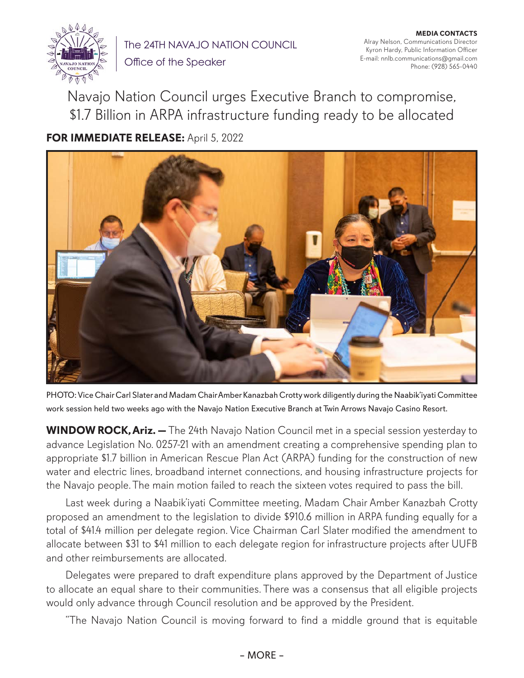

The 24TH NAVAJO NATION COUNCIL

**MEDIA CONTACTS** Alray Nelson, Communications Director Kyron Hardy, Public Information Officer E-mail: nnlb.communications@gmail.com Phone: (928) 565-0440

Office of the Speaker

Navajo Nation Council urges Executive Branch to compromise, \$1.7 Billion in ARPA infrastructure funding ready to be allocated

**FOR IMMEDIATE RELEASE:** April 5, 2022



PHOTO: Vice Chair Carl Slater and Madam Chair Amber Kanazbah Crotty work diligently during the Naabik'iyati Committee work session held two weeks ago with the Navajo Nation Executive Branch at Twin Arrows Navajo Casino Resort.

**WINDOW ROCK, Ariz. —** The 24th Navajo Nation Council met in a special session yesterday to advance Legislation No. 0257-21 with an amendment creating a comprehensive spending plan to appropriate \$1.7 billion in American Rescue Plan Act (ARPA) funding for the construction of new water and electric lines, broadband internet connections, and housing infrastructure projects for the Navajo people. The main motion failed to reach the sixteen votes required to pass the bill.

Last week during a Naabik'iyati Committee meeting, Madam Chair Amber Kanazbah Crotty proposed an amendment to the legislation to divide \$910.6 million in ARPA funding equally for a total of \$41.4 million per delegate region. Vice Chairman Carl Slater modified the amendment to allocate between \$31 to \$41 million to each delegate region for infrastructure projects after UUFB and other reimbursements are allocated.

Delegates were prepared to draft expenditure plans approved by the Department of Justice to allocate an equal share to their communities. There was a consensus that all eligible projects would only advance through Council resolution and be approved by the President.

"The Navajo Nation Council is moving forward to find a middle ground that is equitable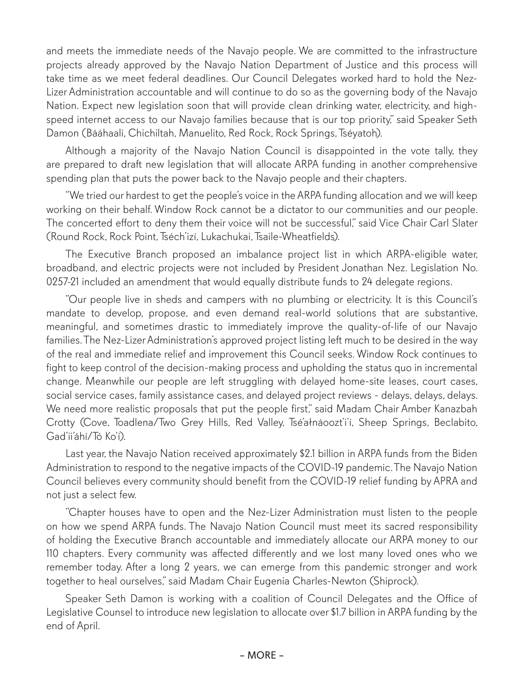and meets the immediate needs of the Navajo people. We are committed to the infrastructure projects already approved by the Navajo Nation Department of Justice and this process will take time as we meet federal deadlines. Our Council Delegates worked hard to hold the Nez-Lizer Administration accountable and will continue to do so as the governing body of the Navajo Nation. Expect new legislation soon that will provide clean drinking water, electricity, and highspeed internet access to our Navajo families because that is our top priority," said Speaker Seth Damon (Bááhaalí, Chichiltah, Manuelito, Red Rock, Rock Springs, Tséyatoh).

Although a majority of the Navajo Nation Council is disappointed in the vote tally, they are prepared to draft new legislation that will allocate ARPA funding in another comprehensive spending plan that puts the power back to the Navajo people and their chapters.

"We tried our hardest to get the people's voice in the ARPA funding allocation and we will keep working on their behalf. Window Rock cannot be a dictator to our communities and our people. The concerted effort to deny them their voice will not be successful," said Vice Chair Carl Slater (Round Rock, Rock Point, Tséch'izí, Lukachukai, Tsaile-Wheatfields).

The Executive Branch proposed an imbalance project list in which ARPA-eligible water, broadband, and electric projects were not included by President Jonathan Nez. Legislation No. 0257-21 included an amendment that would equally distribute funds to 24 delegate regions.

"Our people live in sheds and campers with no plumbing or electricity. It is this Council's mandate to develop, propose, and even demand real-world solutions that are substantive, meaningful, and sometimes drastic to immediately improve the quality-of-life of our Navajo families. The Nez-Lizer Administration's approved project listing left much to be desired in the way of the real and immediate relief and improvement this Council seeks. Window Rock continues to fight to keep control of the decision-making process and upholding the status quo in incremental change. Meanwhile our people are left struggling with delayed home-site leases, court cases, social service cases, family assistance cases, and delayed project reviews - delays, delays, delays. We need more realistic proposals that put the people first," said Madam Chair Amber Kanazbah Crotty (Cove, Toadlena/Two Grey Hills, Red Valley, Tsé'ałnáoozt'i'í, Sheep Springs, Beclabito, Gad'ii'áhí/Tó Ko'í).

Last year, the Navajo Nation received approximately \$2.1 billion in ARPA funds from the Biden Administration to respond to the negative impacts of the COVID-19 pandemic. The Navajo Nation Council believes every community should benefit from the COVID-19 relief funding by APRA and not just a select few.

"Chapter houses have to open and the Nez-Lizer Administration must listen to the people on how we spend ARPA funds. The Navajo Nation Council must meet its sacred responsibility of holding the Executive Branch accountable and immediately allocate our ARPA money to our 110 chapters. Every community was affected differently and we lost many loved ones who we remember today. After a long 2 years, we can emerge from this pandemic stronger and work together to heal ourselves," said Madam Chair Eugenia Charles-Newton (Shiprock).

Speaker Seth Damon is working with a coalition of Council Delegates and the Office of Legislative Counsel to introduce new legislation to allocate over \$1.7 billion in ARPA funding by the end of April.